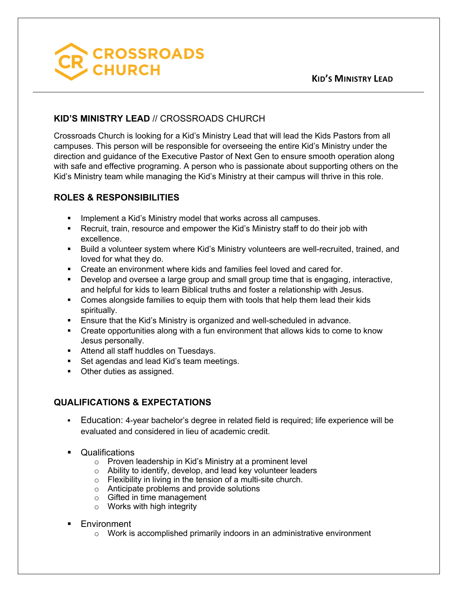

## **KID'S MINISTRY LEAD** // CROSSROADS CHURCH

Crossroads Church is looking for a Kid's Ministry Lead that will lead the Kids Pastors from all campuses. This person will be responsible for overseeing the entire Kid's Ministry under the direction and guidance of the Executive Pastor of Next Gen to ensure smooth operation along with safe and effective programing. A person who is passionate about supporting others on the Kid's Ministry team while managing the Kid's Ministry at their campus will thrive in this role.

## **ROLES & RESPONSIBILITIES**

- Implement a Kid's Ministry model that works across all campuses.
- § Recruit, train, resource and empower the Kid's Ministry staff to do their job with excellence.
- § Build a volunteer system where Kid's Ministry volunteers are well-recruited, trained, and loved for what they do.
- § Create an environment where kids and families feel loved and cared for.
- Develop and oversee a large group and small group time that is engaging, interactive, and helpful for kids to learn Biblical truths and foster a relationship with Jesus.
- § Comes alongside families to equip them with tools that help them lead their kids spiritually.
- Ensure that the Kid's Ministry is organized and well-scheduled in advance.
- Create opportunities along with a fun environment that allows kids to come to know Jesus personally.
- Attend all staff huddles on Tuesdays.
- Set agendas and lead Kid's team meetings.
- Other duties as assigned.

## **QUALIFICATIONS & EXPECTATIONS**

- § Education: 4-year bachelor's degree in related field is required; life experience will be evaluated and considered in lieu of academic credit.
- § Qualifications
	- o Proven leadership in Kid's Ministry at a prominent level
	- o Ability to identify, develop, and lead key volunteer leaders
	- o Flexibility in living in the tension of a multi-site church.
	- o Anticipate problems and provide solutions
	- o Gifted in time management
	- o Works with high integrity
- **Environment** 
	- $\circ$  Work is accomplished primarily indoors in an administrative environment